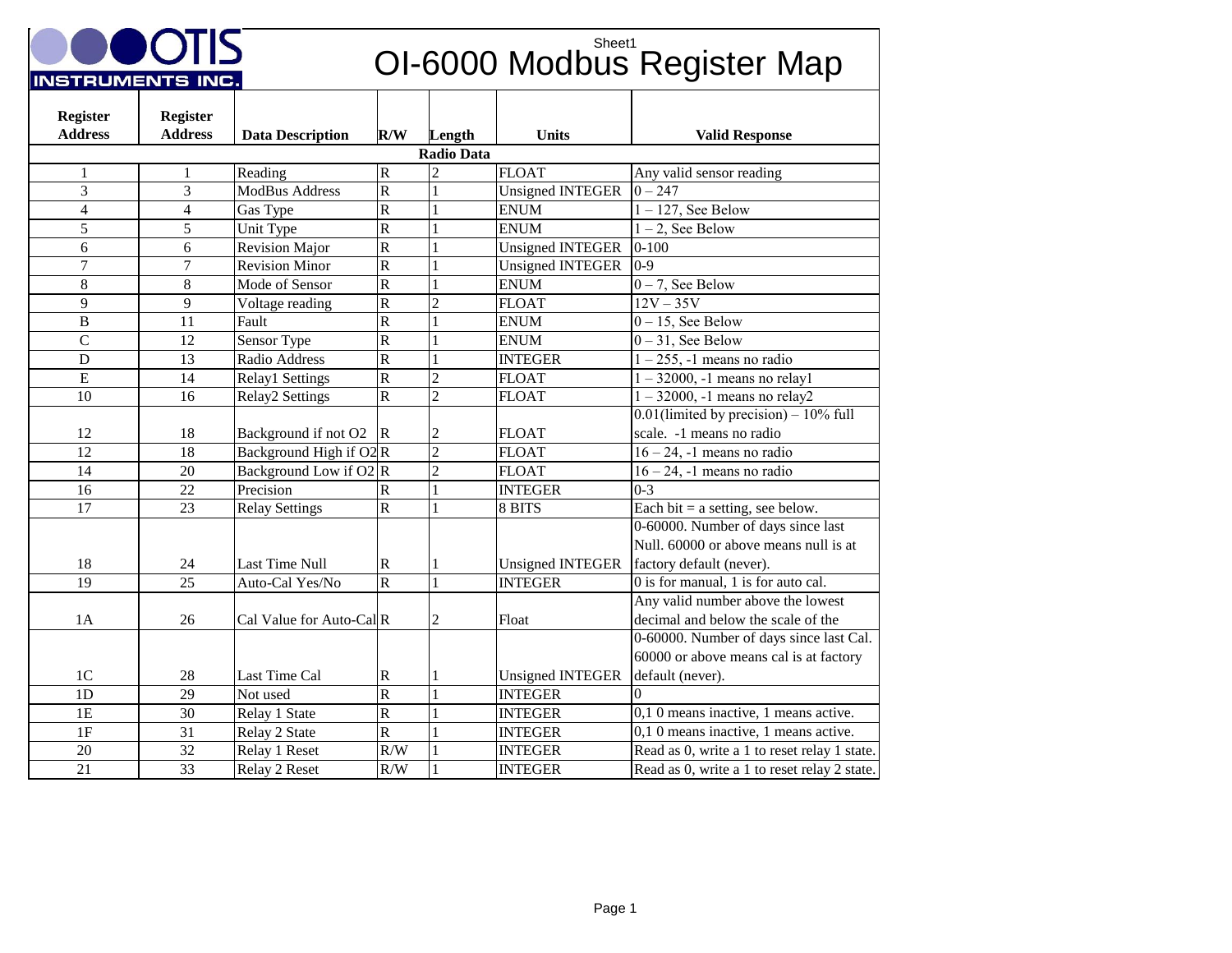

## **OUIS** OI-6000 Modbus Register Map

| <b>Register</b>         | <b>Register</b>   |                                     |                         |                |                         |                                              |  |  |
|-------------------------|-------------------|-------------------------------------|-------------------------|----------------|-------------------------|----------------------------------------------|--|--|
| <b>Address</b>          | <b>Address</b>    | <b>Data Description</b>             | R/W                     | Length         | <b>Units</b>            | <b>Valid Response</b>                        |  |  |
|                         | <b>Radio Data</b> |                                     |                         |                |                         |                                              |  |  |
| 1                       | 1                 | Reading                             | $\mathbf R$             | $\overline{c}$ | <b>FLOAT</b>            | Any valid sensor reading                     |  |  |
| $\overline{3}$          | 3                 | <b>ModBus Address</b>               | $\overline{R}$          | $\mathbf{1}$   | <b>Unsigned INTEGER</b> | $0 - 247$                                    |  |  |
| $\overline{\mathbf{4}}$ | 4                 | Gas Type                            | ${\bf R}$               | $\mathbf{1}$   | <b>ENUM</b>             | $1 - 127$ , See Below                        |  |  |
| 5                       | 5                 | Unit Type                           | $\overline{R}$          |                | <b>ENUM</b>             | $1 - 2$ , See Below                          |  |  |
| 6                       | 6                 | <b>Revision Major</b>               | $\overline{R}$          | 1              | <b>Unsigned INTEGER</b> | $0 - 100$                                    |  |  |
| $\overline{7}$          | $\tau$            | <b>Revision Minor</b>               | $\overline{R}$          | $\mathbf{1}$   | <b>Unsigned INTEGER</b> | $0 - 9$                                      |  |  |
| 8                       | $\,8\,$           | Mode of Sensor                      | $\overline{R}$          | 1              | <b>ENUM</b>             | $0 - 7$ , See Below                          |  |  |
| 9                       | 9                 | Voltage reading                     | $\overline{R}$          | $\overline{2}$ | <b>FLOAT</b>            | $12V - 35V$                                  |  |  |
| $\bf{B}$                | 11                | $\overline{F}$ ault                 | ${\bf R}$               | $\mathbf{1}$   | <b>ENUM</b>             | $0 - 15$ , See Below                         |  |  |
| $\overline{C}$          | 12                | Sensor Type                         | $\overline{\text{R}}$   |                | <b>ENUM</b>             | $0 - 31$ , See Below                         |  |  |
| D                       | 13                | Radio Address                       | $\overline{R}$          | $\mathbf{1}$   | <b>INTEGER</b>          | $1 - 255$ , -1 means no radio                |  |  |
| E                       | 14                | Relay1 Settings                     | $\overline{R}$          | $\overline{c}$ | <b>FLOAT</b>            | $1 - 32000$ , -1 means no relayl             |  |  |
| 10                      | 16                | Relay2 Settings                     | $\overline{R}$          | $\overline{2}$ | <b>FLOAT</b>            | $1 - 32000$ , -1 means no relay2             |  |  |
|                         |                   |                                     |                         |                |                         | $0.01$ (limited by precision) – $10\%$ full  |  |  |
| 12                      | 18                | Background if not O2                | $\overline{\mathbf{R}}$ | $\overline{c}$ | <b>FLOAT</b>            | scale. -1 means no radio                     |  |  |
| 12                      | 18                | Background High if O <sub>2</sub> R |                         | $\overline{2}$ | <b>FLOAT</b>            | $16 - 24$ , -1 means no radio                |  |  |
| 14                      | 20                | Background Low if $O2 R$            |                         | $\overline{2}$ | <b>FLOAT</b>            | $16 - 24$ , -1 means no radio                |  |  |
| 16                      | 22                | Precision                           | ${\bf R}$               | $\mathbf{1}$   | <b>INTEGER</b>          | $0 - 3$                                      |  |  |
| 17                      | 23                | <b>Relay Settings</b>               | $\overline{\text{R}}$   |                | 8 BITS                  | Each bit $=$ a setting, see below.           |  |  |
|                         |                   |                                     |                         |                |                         | 0-60000. Number of days since last           |  |  |
|                         |                   |                                     |                         |                |                         | Null. 60000 or above means null is at        |  |  |
| 18                      | 24                | <b>Last Time Null</b>               | $\mathbb R$             | 1              | <b>Unsigned INTEGER</b> | factory default (never).                     |  |  |
| 19                      | 25                | Auto-Cal Yes/No                     | $\overline{R}$          | $\mathbf{1}$   | <b>INTEGER</b>          | 0 is for manual, 1 is for auto cal.          |  |  |
|                         |                   |                                     |                         |                |                         | Any valid number above the lowest            |  |  |
| 1A                      | 26                | Cal Value for Auto-Cal R            |                         | 2              | Float                   | decimal and below the scale of the           |  |  |
|                         |                   |                                     |                         |                |                         | 0-60000. Number of days since last Cal.      |  |  |
|                         |                   |                                     |                         |                |                         | 60000 or above means cal is at factory       |  |  |
| 1 <sup>C</sup>          | 28                | Last Time Cal                       | R                       | 1              | <b>Unsigned INTEGER</b> | default (never).                             |  |  |
| 1D                      | 29                | Not used                            | $\overline{R}$          | 1              | <b>INTEGER</b>          |                                              |  |  |
| 1E                      | 30                | Relay 1 State                       | $\overline{R}$          | 1              | <b>INTEGER</b>          | 0,1 0 means inactive, 1 means active.        |  |  |
| 1F                      | 31                | Relay 2 State                       | ${\bf R}$               | 1              | <b>INTEGER</b>          | 0,1 0 means inactive, 1 means active.        |  |  |
| 20                      | 32                | Relay 1 Reset                       | R/W                     |                | <b>INTEGER</b>          | Read as 0, write a 1 to reset relay 1 state. |  |  |
| 21                      | 33                | Relay 2 Reset                       | R/W                     |                | <b>INTEGER</b>          | Read as 0, write a 1 to reset relay 2 state. |  |  |